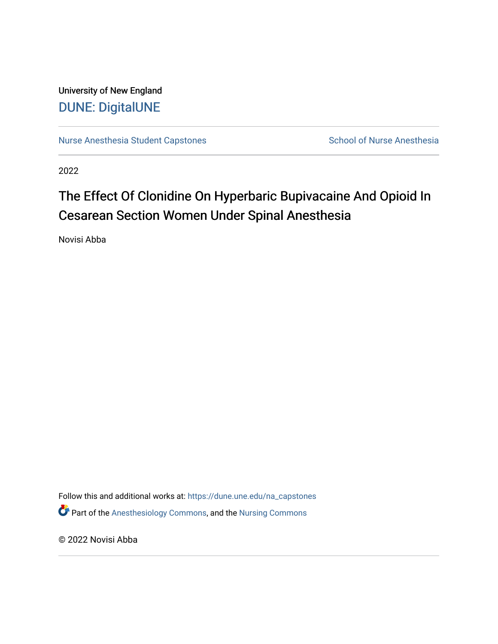University of New England [DUNE: DigitalUNE](https://dune.une.edu/) 

[Nurse Anesthesia Student Capstones](https://dune.une.edu/na_capstones) School of Nurse Anesthesia

2022

# The Effect Of Clonidine On Hyperbaric Bupivacaine And Opioid In Cesarean Section Women Under Spinal Anesthesia

Novisi Abba

Follow this and additional works at: [https://dune.une.edu/na\\_capstones](https://dune.une.edu/na_capstones?utm_source=dune.une.edu%2Fna_capstones%2F48&utm_medium=PDF&utm_campaign=PDFCoverPages) **P** Part of the [Anesthesiology Commons](https://network.bepress.com/hgg/discipline/682?utm_source=dune.une.edu%2Fna_capstones%2F48&utm_medium=PDF&utm_campaign=PDFCoverPages), and the Nursing Commons

© 2022 Novisi Abba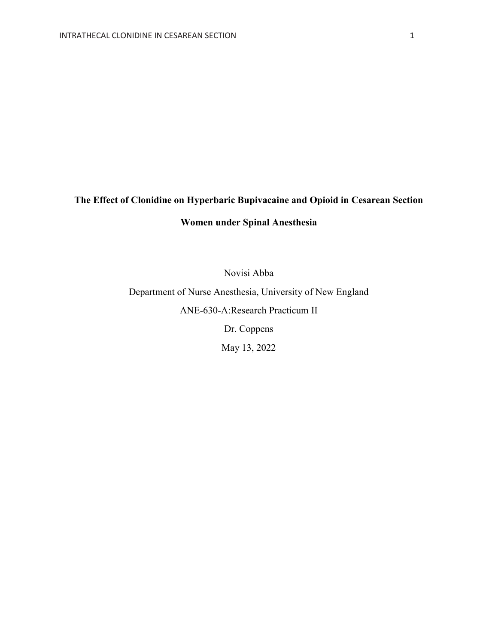## **The Effect of Clonidine on Hyperbaric Bupivacaine and Opioid in Cesarean Section**

## **Women under Spinal Anesthesia**

Novisi Abba

Department of Nurse Anesthesia, University of New England ANE-630-A:Research Practicum II Dr. Coppens

May 13, 2022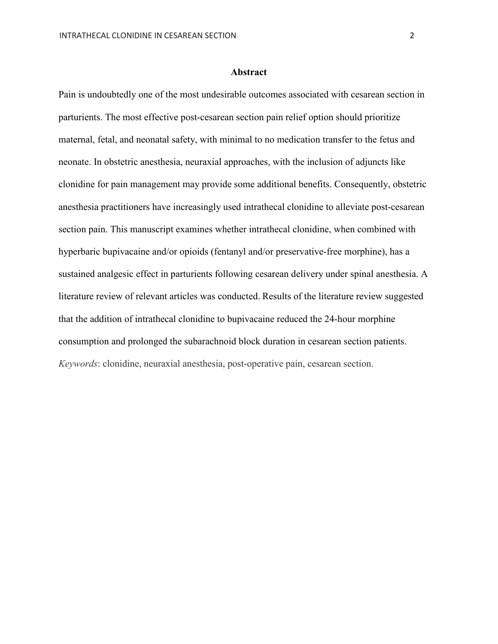Pain is undoubtedly one of the most undesirable outcomes associated with cesarean section in parturients. The most effective post-cesarean section pain relief option should prioritize maternal, fetal, and neonatal safety, with minimal to no medication transfer to the fetus and neonate. In obstetric anesthesia, neuraxial approaches, with the inclusion of adjuncts like clonidine for pain management may provide some additional benefits. Consequently, obstetric anesthesia practitioners have increasingly used intrathecal clonidine to alleviate post-cesarean section pain. This manuscript examines whether intrathecal clonidine, when combined with hyperbaric bupivacaine and/or opioids (fentanyl and/or preservative-free morphine), has a sustained analgesic effect in parturients following cesarean delivery under spinal anesthesia. A literature review of relevant articles was conducted. Results of the literature review suggested that the addition of intrathecal clonidine to bupivacaine reduced the 24-hour morphine consumption and prolonged the subarachnoid block duration in cesarean section patients. *Keywords*: clonidine, neuraxial anesthesia, post-operative pain, cesarean section.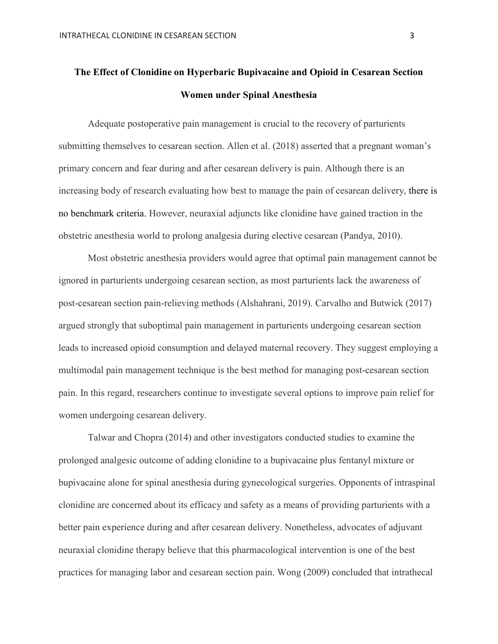## **The Effect of Clonidine on Hyperbaric Bupivacaine and Opioid in Cesarean Section Women under Spinal Anesthesia**

Adequate postoperative pain management is crucial to the recovery of parturients submitting themselves to cesarean section. Allen et al. (2018) asserted that a pregnant woman's primary concern and fear during and after cesarean delivery is pain. Although there is an increasing body of research evaluating how best to manage the pain of cesarean delivery, there is no benchmark criteria. However, neuraxial adjuncts like clonidine have gained traction in the obstetric anesthesia world to prolong analgesia during elective cesarean (Pandya, 2010).

Most obstetric anesthesia providers would agree that optimal pain management cannot be ignored in parturients undergoing cesarean section, as most parturients lack the awareness of post-cesarean section pain-relieving methods (Alshahrani, 2019). Carvalho and Butwick (2017) argued strongly that suboptimal pain management in parturients undergoing cesarean section leads to increased opioid consumption and delayed maternal recovery. They suggest employing a multimodal pain management technique is the best method for managing post-cesarean section pain. In this regard, researchers continue to investigate several options to improve pain relief for women undergoing cesarean delivery.

Talwar and Chopra (2014) and other investigators conducted studies to examine the prolonged analgesic outcome of adding clonidine to a bupivacaine plus fentanyl mixture or bupivacaine alone for spinal anesthesia during gynecological surgeries. Opponents of intraspinal clonidine are concerned about its efficacy and safety as a means of providing parturients with a better pain experience during and after cesarean delivery. Nonetheless, advocates of adjuvant neuraxial clonidine therapy believe that this pharmacological intervention is one of the best practices for managing labor and cesarean section pain. Wong (2009) concluded that intrathecal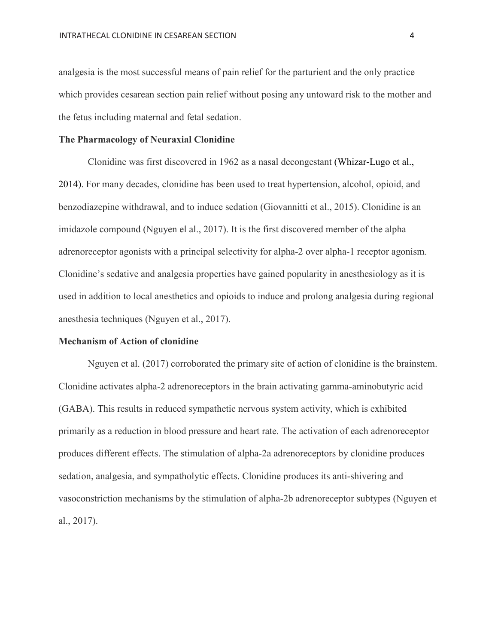analgesia is the most successful means of pain relief for the parturient and the only practice which provides cesarean section pain relief without posing any untoward risk to the mother and the fetus including maternal and fetal sedation.

#### **The Pharmacology of Neuraxial Clonidine**

Clonidine was first discovered in 1962 as a nasal decongestant (Whizar-Lugo et al., 2014). For many decades, clonidine has been used to treat hypertension, alcohol, opioid, and benzodiazepine withdrawal, and to induce sedation (Giovannitti et al., 2015). Clonidine is an imidazole compound (Nguyen el al., 2017). It is the first discovered member of the alpha adrenoreceptor agonists with a principal selectivity for alpha-2 over alpha-1 receptor agonism. Clonidine's sedative and analgesia properties have gained popularity in anesthesiology as it is used in addition to local anesthetics and opioids to induce and prolong analgesia during regional anesthesia techniques (Nguyen et al., 2017).

#### **Mechanism of Action of clonidine**

Nguyen et al. (2017) corroborated the primary site of action of clonidine is the brainstem. Clonidine activates alpha-2 adrenoreceptors in the brain activating gamma-aminobutyric acid (GABA). This results in reduced sympathetic nervous system activity, which is exhibited primarily as a reduction in blood pressure and heart rate. The activation of each adrenoreceptor produces different effects. The stimulation of alpha-2a adrenoreceptors by clonidine produces sedation, analgesia, and sympatholytic effects. Clonidine produces its anti-shivering and vasoconstriction mechanisms by the stimulation of alpha-2b adrenoreceptor subtypes (Nguyen et al., 2017).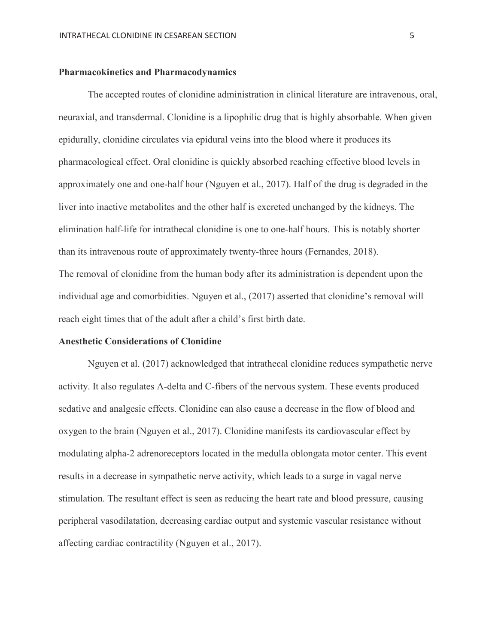#### **Pharmacokinetics and Pharmacodynamics**

The accepted routes of clonidine administration in clinical literature are intravenous, oral, neuraxial, and transdermal. Clonidine is a lipophilic drug that is highly absorbable. When given epidurally, clonidine circulates via epidural veins into the blood where it produces its pharmacological effect. Oral clonidine is quickly absorbed reaching effective blood levels in approximately one and one-half hour (Nguyen et al., 2017). Half of the drug is degraded in the liver into inactive metabolites and the other half is excreted unchanged by the kidneys. The elimination half-life for intrathecal clonidine is one to one-half hours. This is notably shorter than its intravenous route of approximately twenty-three hours (Fernandes, 2018). The removal of clonidine from the human body after its administration is dependent upon the individual age and comorbidities. Nguyen et al., (2017) asserted that clonidine's removal will reach eight times that of the adult after a child's first birth date.

#### **Anesthetic Considerations of Clonidine**

Nguyen et al. (2017) acknowledged that intrathecal clonidine reduces sympathetic nerve activity. It also regulates A-delta and C-fibers of the nervous system. These events produced sedative and analgesic effects. Clonidine can also cause a decrease in the flow of blood and oxygen to the brain (Nguyen et al., 2017). Clonidine manifests its cardiovascular effect by modulating alpha-2 adrenoreceptors located in the medulla oblongata motor center. This event results in a decrease in sympathetic nerve activity, which leads to a surge in vagal nerve stimulation. The resultant effect is seen as reducing the heart rate and blood pressure, causing peripheral vasodilatation, decreasing cardiac output and systemic vascular resistance without affecting cardiac contractility (Nguyen et al., 2017).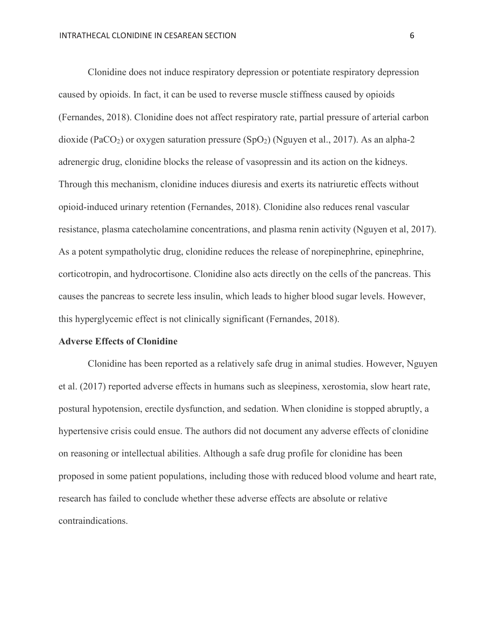Clonidine does not induce respiratory depression or potentiate respiratory depression caused by opioids. In fact, it can be used to reverse muscle stiffness caused by opioids (Fernandes, 2018). Clonidine does not affect respiratory rate, partial pressure of arterial carbon dioxide (PaCO<sub>2</sub>) or oxygen saturation pressure (SpO<sub>2</sub>) (Nguyen et al., 2017). As an alpha-2 adrenergic drug, clonidine blocks the release of vasopressin and its action on the kidneys. Through this mechanism, clonidine induces diuresis and exerts its natriuretic effects without opioid-induced urinary retention (Fernandes, 2018). Clonidine also reduces renal vascular resistance, plasma catecholamine concentrations, and plasma renin activity (Nguyen et al, 2017). As a potent sympatholytic drug, clonidine reduces the release of norepinephrine, epinephrine, corticotropin, and hydrocortisone. Clonidine also acts directly on the cells of the pancreas. This causes the pancreas to secrete less insulin, which leads to higher blood sugar levels. However, this hyperglycemic effect is not clinically significant (Fernandes, 2018).

#### **Adverse Effects of Clonidine**

Clonidine has been reported as a relatively safe drug in animal studies. However, Nguyen et al. (2017) reported adverse effects in humans such as sleepiness, xerostomia, slow heart rate, postural hypotension, erectile dysfunction, and sedation. When clonidine is stopped abruptly, a hypertensive crisis could ensue. The authors did not document any adverse effects of clonidine on reasoning or intellectual abilities. Although a safe drug profile for clonidine has been proposed in some patient populations, including those with reduced blood volume and heart rate, research has failed to conclude whether these adverse effects are absolute or relative contraindications.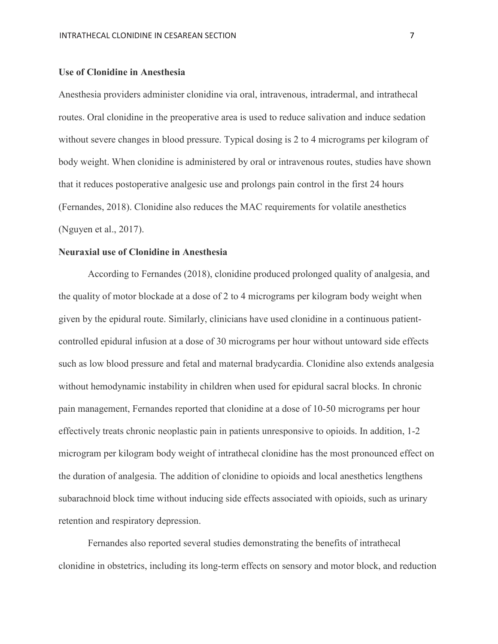#### **Use of Clonidine in Anesthesia**

Anesthesia providers administer clonidine via oral, intravenous, intradermal, and intrathecal routes. Oral clonidine in the preoperative area is used to reduce salivation and induce sedation without severe changes in blood pressure. Typical dosing is 2 to 4 micrograms per kilogram of body weight. When clonidine is administered by oral or intravenous routes, studies have shown that it reduces postoperative analgesic use and prolongs pain control in the first 24 hours (Fernandes, 2018). Clonidine also reduces the MAC requirements for volatile anesthetics (Nguyen et al., 2017).

#### **Neuraxial use of Clonidine in Anesthesia**

According to Fernandes (2018), clonidine produced prolonged quality of analgesia, and the quality of motor blockade at a dose of 2 to 4 micrograms per kilogram body weight when given by the epidural route. Similarly, clinicians have used clonidine in a continuous patientcontrolled epidural infusion at a dose of 30 micrograms per hour without untoward side effects such as low blood pressure and fetal and maternal bradycardia. Clonidine also extends analgesia without hemodynamic instability in children when used for epidural sacral blocks. In chronic pain management, Fernandes reported that clonidine at a dose of 10-50 micrograms per hour effectively treats chronic neoplastic pain in patients unresponsive to opioids. In addition, 1-2 microgram per kilogram body weight of intrathecal clonidine has the most pronounced effect on the duration of analgesia. The addition of clonidine to opioids and local anesthetics lengthens subarachnoid block time without inducing side effects associated with opioids, such as urinary retention and respiratory depression.

Fernandes also reported several studies demonstrating the benefits of intrathecal clonidine in obstetrics, including its long-term effects on sensory and motor block, and reduction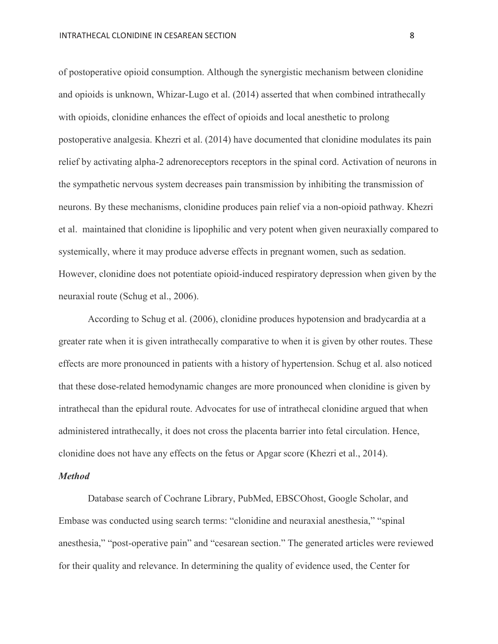of postoperative opioid consumption. Although the synergistic mechanism between clonidine and opioids is unknown, Whizar-Lugo et al. (2014) asserted that when combined intrathecally with opioids, clonidine enhances the effect of opioids and local anesthetic to prolong postoperative analgesia. Khezri et al. (2014) have documented that clonidine modulates its pain relief by activating alpha-2 adrenoreceptors receptors in the spinal cord. Activation of neurons in the sympathetic nervous system decreases pain transmission by inhibiting the transmission of neurons. By these mechanisms, clonidine produces pain relief via a non-opioid pathway. Khezri et al. maintained that clonidine is lipophilic and very potent when given neuraxially compared to systemically, where it may produce adverse effects in pregnant women, such as sedation. However, clonidine does not potentiate opioid-induced respiratory depression when given by the neuraxial route (Schug et al., 2006).

According to Schug et al. (2006), clonidine produces hypotension and bradycardia at a greater rate when it is given intrathecally comparative to when it is given by other routes. These effects are more pronounced in patients with a history of hypertension. Schug et al. also noticed that these dose-related hemodynamic changes are more pronounced when clonidine is given by intrathecal than the epidural route. Advocates for use of intrathecal clonidine argued that when administered intrathecally, it does not cross the placenta barrier into fetal circulation. Hence, clonidine does not have any effects on the fetus or Apgar score (Khezri et al., 2014).

#### *Method*

Database search of Cochrane Library, PubMed, EBSCOhost, Google Scholar, and Embase was conducted using search terms: "clonidine and neuraxial anesthesia," "spinal anesthesia," "post-operative pain" and "cesarean section." The generated articles were reviewed for their quality and relevance. In determining the quality of evidence used, the Center for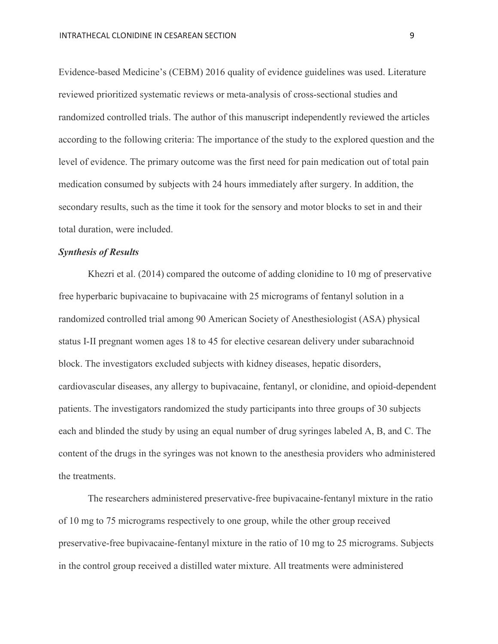Evidence-based Medicine's (CEBM) 2016 quality of evidence guidelines was used. Literature reviewed prioritized systematic reviews or meta-analysis of cross-sectional studies and randomized controlled trials. The author of this manuscript independently reviewed the articles according to the following criteria: The importance of the study to the explored question and the level of evidence. The primary outcome was the first need for pain medication out of total pain medication consumed by subjects with 24 hours immediately after surgery. In addition, the secondary results, such as the time it took for the sensory and motor blocks to set in and their total duration, were included.

#### *Synthesis of Results*

Khezri et al. (2014) compared the outcome of adding clonidine to 10 mg of preservative free hyperbaric bupivacaine to bupivacaine with 25 micrograms of fentanyl solution in a randomized controlled trial among 90 American Society of Anesthesiologist (ASA) physical status I-II pregnant women ages 18 to 45 for elective cesarean delivery under subarachnoid block. The investigators excluded subjects with kidney diseases, hepatic disorders, cardiovascular diseases, any allergy to bupivacaine, fentanyl, or clonidine, and opioid-dependent patients. The investigators randomized the study participants into three groups of 30 subjects each and blinded the study by using an equal number of drug syringes labeled A, B, and C. The content of the drugs in the syringes was not known to the anesthesia providers who administered the treatments.

The researchers administered preservative-free bupivacaine-fentanyl mixture in the ratio of 10 mg to 75 micrograms respectively to one group, while the other group received preservative-free bupivacaine-fentanyl mixture in the ratio of 10 mg to 25 micrograms. Subjects in the control group received a distilled water mixture. All treatments were administered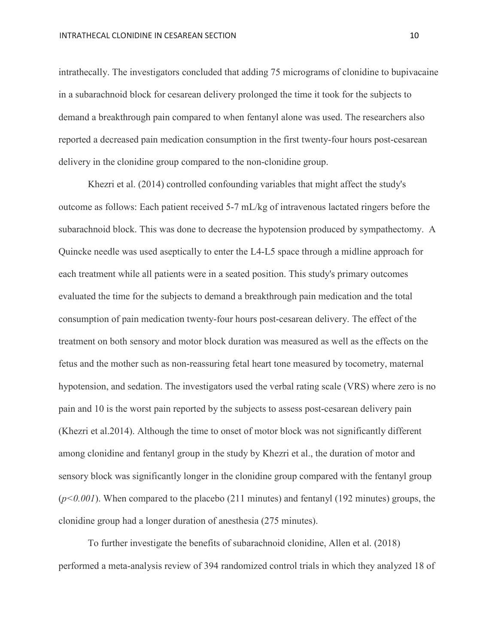intrathecally. The investigators concluded that adding 75 micrograms of clonidine to bupivacaine in a subarachnoid block for cesarean delivery prolonged the time it took for the subjects to demand a breakthrough pain compared to when fentanyl alone was used. The researchers also reported a decreased pain medication consumption in the first twenty-four hours post-cesarean delivery in the clonidine group compared to the non-clonidine group.

Khezri et al. (2014) controlled confounding variables that might affect the study's outcome as follows: Each patient received 5-7 mL/kg of intravenous lactated ringers before the subarachnoid block. This was done to decrease the hypotension produced by sympathectomy. A Quincke needle was used aseptically to enter the L4-L5 space through a midline approach for each treatment while all patients were in a seated position. This study's primary outcomes evaluated the time for the subjects to demand a breakthrough pain medication and the total consumption of pain medication twenty-four hours post-cesarean delivery. The effect of the treatment on both sensory and motor block duration was measured as well as the effects on the fetus and the mother such as non-reassuring fetal heart tone measured by tocometry, maternal hypotension, and sedation. The investigators used the verbal rating scale (VRS) where zero is no pain and 10 is the worst pain reported by the subjects to assess post-cesarean delivery pain (Khezri et al.2014). Although the time to onset of motor block was not significantly different among clonidine and fentanyl group in the study by Khezri et al., the duration of motor and sensory block was significantly longer in the clonidine group compared with the fentanyl group (*p<0.001*). When compared to the placebo (211 minutes) and fentanyl (192 minutes) groups, the clonidine group had a longer duration of anesthesia (275 minutes).

To further investigate the benefits of subarachnoid clonidine, Allen et al. (2018) performed a meta-analysis review of 394 randomized control trials in which they analyzed 18 of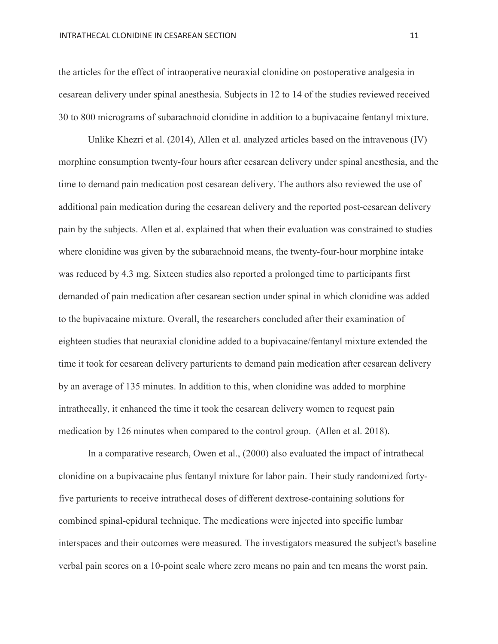the articles for the effect of intraoperative neuraxial clonidine on postoperative analgesia in cesarean delivery under spinal anesthesia. Subjects in 12 to 14 of the studies reviewed received 30 to 800 micrograms of subarachnoid clonidine in addition to a bupivacaine fentanyl mixture.

Unlike Khezri et al. (2014), Allen et al. analyzed articles based on the intravenous (IV) morphine consumption twenty-four hours after cesarean delivery under spinal anesthesia, and the time to demand pain medication post cesarean delivery. The authors also reviewed the use of additional pain medication during the cesarean delivery and the reported post-cesarean delivery pain by the subjects. Allen et al. explained that when their evaluation was constrained to studies where clonidine was given by the subarachnoid means, the twenty-four-hour morphine intake was reduced by 4.3 mg. Sixteen studies also reported a prolonged time to participants first demanded of pain medication after cesarean section under spinal in which clonidine was added to the bupivacaine mixture. Overall, the researchers concluded after their examination of eighteen studies that neuraxial clonidine added to a bupivacaine/fentanyl mixture extended the time it took for cesarean delivery parturients to demand pain medication after cesarean delivery by an average of 135 minutes. In addition to this, when clonidine was added to morphine intrathecally, it enhanced the time it took the cesarean delivery women to request pain medication by 126 minutes when compared to the control group. (Allen et al. 2018).

In a comparative research, Owen et al., (2000) also evaluated the impact of intrathecal clonidine on a bupivacaine plus fentanyl mixture for labor pain. Their study randomized fortyfive parturients to receive intrathecal doses of different dextrose-containing solutions for combined spinal-epidural technique. The medications were injected into specific lumbar interspaces and their outcomes were measured. The investigators measured the subject's baseline verbal pain scores on a 10-point scale where zero means no pain and ten means the worst pain.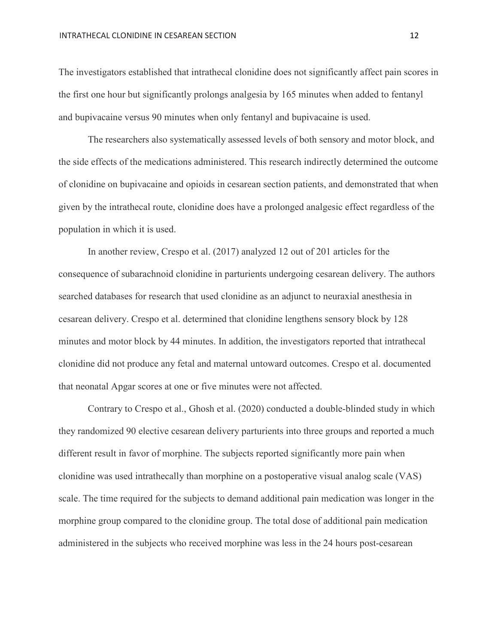The investigators established that intrathecal clonidine does not significantly affect pain scores in the first one hour but significantly prolongs analgesia by 165 minutes when added to fentanyl and bupivacaine versus 90 minutes when only fentanyl and bupivacaine is used.

The researchers also systematically assessed levels of both sensory and motor block, and the side effects of the medications administered. This research indirectly determined the outcome of clonidine on bupivacaine and opioids in cesarean section patients, and demonstrated that when given by the intrathecal route, clonidine does have a prolonged analgesic effect regardless of the population in which it is used.

In another review, Crespo et al. (2017) analyzed 12 out of 201 articles for the consequence of subarachnoid clonidine in parturients undergoing cesarean delivery. The authors searched databases for research that used clonidine as an adjunct to neuraxial anesthesia in cesarean delivery. Crespo et al. determined that clonidine lengthens sensory block by 128 minutes and motor block by 44 minutes. In addition, the investigators reported that intrathecal clonidine did not produce any fetal and maternal untoward outcomes. Crespo et al. documented that neonatal Apgar scores at one or five minutes were not affected.

Contrary to Crespo et al., Ghosh et al. (2020) conducted a double-blinded study in which they randomized 90 elective cesarean delivery parturients into three groups and reported a much different result in favor of morphine. The subjects reported significantly more pain when clonidine was used intrathecally than morphine on a postoperative visual analog scale (VAS) scale. The time required for the subjects to demand additional pain medication was longer in the morphine group compared to the clonidine group. The total dose of additional pain medication administered in the subjects who received morphine was less in the 24 hours post-cesarean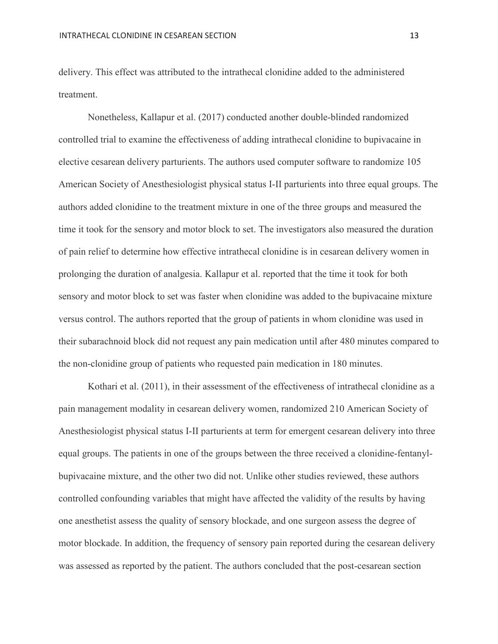delivery. This effect was attributed to the intrathecal clonidine added to the administered treatment.

Nonetheless, Kallapur et al. (2017) conducted another double-blinded randomized controlled trial to examine the effectiveness of adding intrathecal clonidine to bupivacaine in elective cesarean delivery parturients. The authors used computer software to randomize 105 American Society of Anesthesiologist physical status I-II parturients into three equal groups. The authors added clonidine to the treatment mixture in one of the three groups and measured the time it took for the sensory and motor block to set. The investigators also measured the duration of pain relief to determine how effective intrathecal clonidine is in cesarean delivery women in prolonging the duration of analgesia. Kallapur et al. reported that the time it took for both sensory and motor block to set was faster when clonidine was added to the bupivacaine mixture versus control. The authors reported that the group of patients in whom clonidine was used in their subarachnoid block did not request any pain medication until after 480 minutes compared to the non-clonidine group of patients who requested pain medication in 180 minutes.

Kothari et al. (2011), in their assessment of the effectiveness of intrathecal clonidine as a pain management modality in cesarean delivery women, randomized 210 American Society of Anesthesiologist physical status I-II parturients at term for emergent cesarean delivery into three equal groups. The patients in one of the groups between the three received a clonidine-fentanylbupivacaine mixture, and the other two did not. Unlike other studies reviewed, these authors controlled confounding variables that might have affected the validity of the results by having one anesthetist assess the quality of sensory blockade, and one surgeon assess the degree of motor blockade. In addition, the frequency of sensory pain reported during the cesarean delivery was assessed as reported by the patient. The authors concluded that the post-cesarean section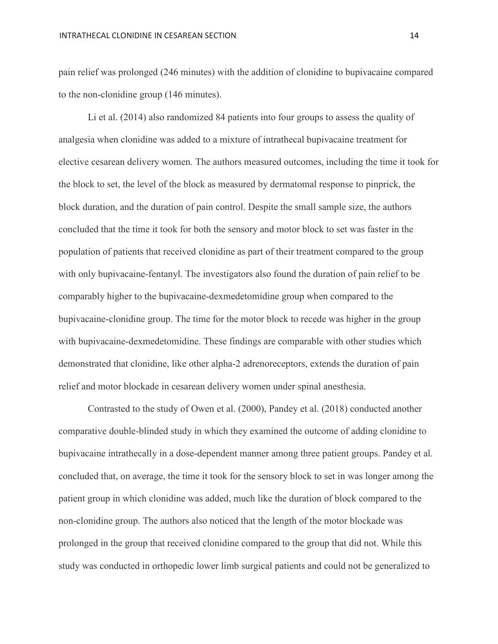pain relief was prolonged (246 minutes) with the addition of clonidine to bupivacaine compared to the non-clonidine group (146 minutes).

Li et al. (2014) also randomized 84 patients into four groups to assess the quality of analgesia when clonidine was added to a mixture of intrathecal bupivacaine treatment for elective cesarean delivery women. The authors measured outcomes, including the time it took for the block to set, the level of the block as measured by dermatomal response to pinprick, the block duration, and the duration of pain control. Despite the small sample size, the authors concluded that the time it took for both the sensory and motor block to set was faster in the population of patients that received clonidine as part of their treatment compared to the group with only bupivacaine-fentanyl. The investigators also found the duration of pain relief to be comparably higher to the bupivacaine-dexmedetomidine group when compared to the bupivacaine-clonidine group. The time for the motor block to recede was higher in the group with bupivacaine-dexmedetomidine. These findings are comparable with other studies which demonstrated that clonidine, like other alpha-2 adrenoreceptors, extends the duration of pain relief and motor blockade in cesarean delivery women under spinal anesthesia.

Contrasted to the study of Owen et al. (2000), Pandey et al. (2018) conducted another comparative double-blinded study in which they examined the outcome of adding clonidine to bupivacaine intrathecally in a dose-dependent manner among three patient groups. Pandey et al. concluded that, on average, the time it took for the sensory block to set in was longer among the patient group in which clonidine was added, much like the duration of block compared to the non-clonidine group. The authors also noticed that the length of the motor blockade was prolonged in the group that received clonidine compared to the group that did not. While this study was conducted in orthopedic lower limb surgical patients and could not be generalized to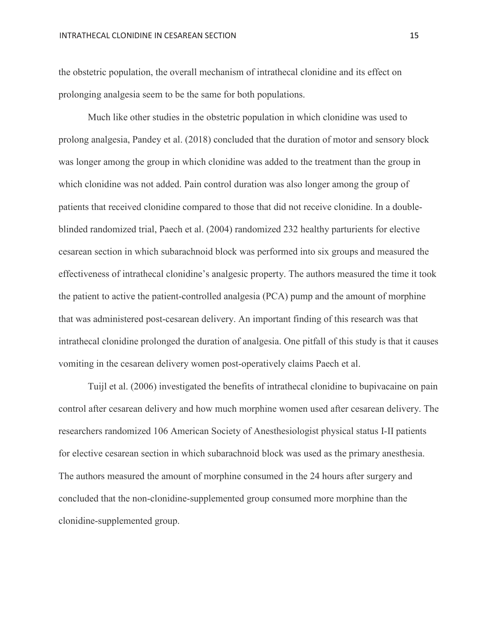the obstetric population, the overall mechanism of intrathecal clonidine and its effect on prolonging analgesia seem to be the same for both populations.

Much like other studies in the obstetric population in which clonidine was used to prolong analgesia, Pandey et al. (2018) concluded that the duration of motor and sensory block was longer among the group in which clonidine was added to the treatment than the group in which clonidine was not added. Pain control duration was also longer among the group of patients that received clonidine compared to those that did not receive clonidine. In a doubleblinded randomized trial, Paech et al. (2004) randomized 232 healthy parturients for elective cesarean section in which subarachnoid block was performed into six groups and measured the effectiveness of intrathecal clonidine's analgesic property. The authors measured the time it took the patient to active the patient-controlled analgesia (PCA) pump and the amount of morphine that was administered post-cesarean delivery. An important finding of this research was that intrathecal clonidine prolonged the duration of analgesia. One pitfall of this study is that it causes vomiting in the cesarean delivery women post-operatively claims Paech et al.

Tuijl et al. (2006) investigated the benefits of intrathecal clonidine to bupivacaine on pain control after cesarean delivery and how much morphine women used after cesarean delivery. The researchers randomized 106 American Society of Anesthesiologist physical status I-II patients for elective cesarean section in which subarachnoid block was used as the primary anesthesia. The authors measured the amount of morphine consumed in the 24 hours after surgery and concluded that the non-clonidine-supplemented group consumed more morphine than the clonidine-supplemented group.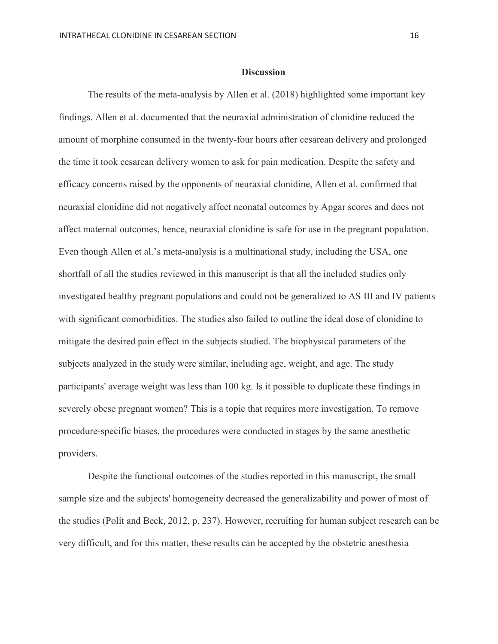#### **Discussion**

The results of the meta-analysis by Allen et al. (2018) highlighted some important key findings. Allen et al. documented that the neuraxial administration of clonidine reduced the amount of morphine consumed in the twenty-four hours after cesarean delivery and prolonged the time it took cesarean delivery women to ask for pain medication. Despite the safety and efficacy concerns raised by the opponents of neuraxial clonidine, Allen et al. confirmed that neuraxial clonidine did not negatively affect neonatal outcomes by Apgar scores and does not affect maternal outcomes, hence, neuraxial clonidine is safe for use in the pregnant population. Even though Allen et al.'s meta-analysis is a multinational study, including the USA, one shortfall of all the studies reviewed in this manuscript is that all the included studies only investigated healthy pregnant populations and could not be generalized to AS III and IV patients with significant comorbidities. The studies also failed to outline the ideal dose of clonidine to mitigate the desired pain effect in the subjects studied. The biophysical parameters of the subjects analyzed in the study were similar, including age, weight, and age. The study participants' average weight was less than 100 kg. Is it possible to duplicate these findings in severely obese pregnant women? This is a topic that requires more investigation. To remove procedure-specific biases, the procedures were conducted in stages by the same anesthetic providers.

Despite the functional outcomes of the studies reported in this manuscript, the small sample size and the subjects' homogeneity decreased the generalizability and power of most of the studies (Polit and Beck, 2012, p. 237). However, recruiting for human subject research can be very difficult, and for this matter, these results can be accepted by the obstetric anesthesia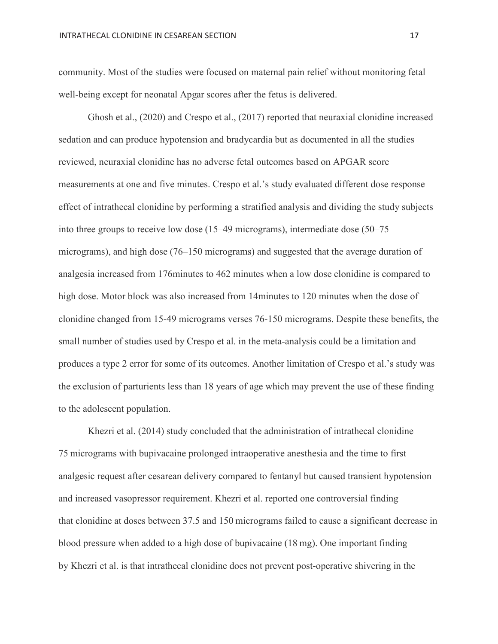community. Most of the studies were focused on maternal pain relief without monitoring fetal well-being except for neonatal Apgar scores after the fetus is delivered.

Ghosh et al., (2020) and Crespo et al., (2017) reported that neuraxial clonidine increased sedation and can produce hypotension and bradycardia but as documented in all the studies reviewed, neuraxial clonidine has no adverse fetal outcomes based on APGAR score measurements at one and five minutes. Crespo et al.'s study evaluated different dose response effect of intrathecal clonidine by performing a stratified analysis and dividing the study subjects into three groups to receive low dose (15–49 micrograms), intermediate dose (50–75 micrograms), and high dose (76–150 micrograms) and suggested that the average duration of analgesia increased from 176minutes to 462 minutes when a low dose clonidine is compared to high dose. Motor block was also increased from 14minutes to 120 minutes when the dose of clonidine changed from 15-49 micrograms verses 76-150 micrograms. Despite these benefits, the small number of studies used by Crespo et al. in the meta-analysis could be a limitation and produces a type 2 error for some of its outcomes. Another limitation of Crespo et al.'s study was the exclusion of parturients less than 18 years of age which may prevent the use of these finding to the adolescent population.

Khezri et al. (2014) study concluded that the administration of intrathecal clonidine 75 micrograms with bupivacaine prolonged intraoperative anesthesia and the time to first analgesic request after cesarean delivery compared to fentanyl but caused transient hypotension and increased vasopressor requirement. Khezri et al. reported one controversial finding that clonidine at doses between 37.5 and 150 micrograms failed to cause a significant decrease in blood pressure when added to a high dose of bupivacaine (18 mg). One important finding by Khezri et al. is that intrathecal clonidine does not prevent post-operative shivering in the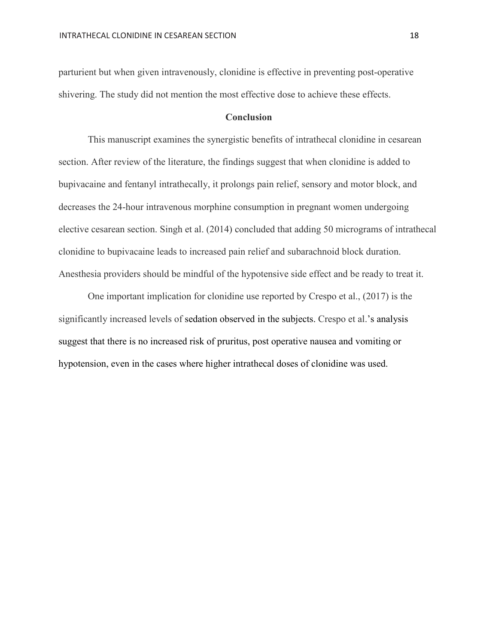parturient but when given intravenously, clonidine is effective in preventing post-operative shivering. The study did not mention the most effective dose to achieve these effects.

#### **Conclusion**

This manuscript examines the synergistic benefits of intrathecal clonidine in cesarean section. After review of the literature, the findings suggest that when clonidine is added to bupivacaine and fentanyl intrathecally, it prolongs pain relief, sensory and motor block, and decreases the 24-hour intravenous morphine consumption in pregnant women undergoing elective cesarean section. Singh et al. (2014) concluded that adding 50 micrograms of intrathecal clonidine to bupivacaine leads to increased pain relief and subarachnoid block duration. Anesthesia providers should be mindful of the hypotensive side effect and be ready to treat it.

One important implication for clonidine use reported by Crespo et al., (2017) is the significantly increased levels of sedation observed in the subjects. Crespo et al.'s analysis suggest that there is no increased risk of pruritus, post operative nausea and vomiting or hypotension, even in the cases where higher intrathecal doses of clonidine was used.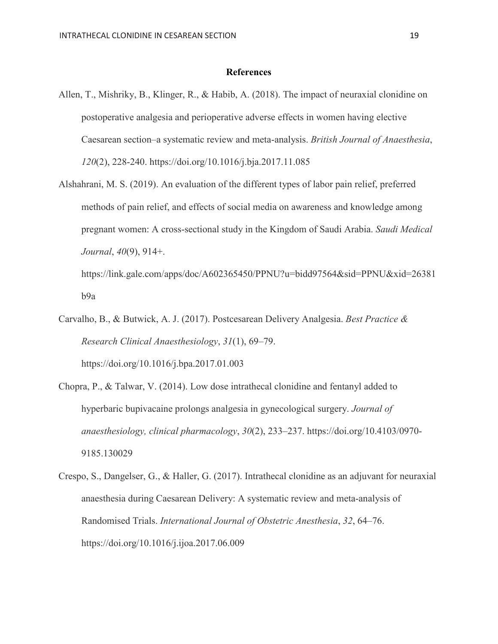#### **References**

- Allen, T., Mishriky, B., Klinger, R., & Habib, A. (2018). The impact of neuraxial clonidine on postoperative analgesia and perioperative adverse effects in women having elective Caesarean section–a systematic review and meta-analysis. *British Journal of Anaesthesia*, *120*(2), 228-240. https://doi.org/10.1016/j.bja.2017.11.085
- Alshahrani, M. S. (2019). An evaluation of the different types of labor pain relief, preferred methods of pain relief, and effects of social media on awareness and knowledge among pregnant women: A cross-sectional study in the Kingdom of Saudi Arabia. *Saudi Medical Journal*, *40*(9), 914+.

https://link.gale.com/apps/doc/A602365450/PPNU?u=bidd97564&sid=PPNU&xid=26381 b9a

- Carvalho, B., & Butwick, A. J. (2017). Postcesarean Delivery Analgesia. *Best Practice & Research Clinical Anaesthesiology*, *31*(1), 69–79. https://doi.org/10.1016/j.bpa.2017.01.003
- Chopra, P., & Talwar, V. (2014). Low dose intrathecal clonidine and fentanyl added to hyperbaric bupivacaine prolongs analgesia in gynecological surgery. *Journal of anaesthesiology, clinical pharmacology*, *30*(2), 233–237. [https://doi.org/10.4103/0970-](https://doi.org/10.4103/0970-9185.130029) [9185.130029](https://doi.org/10.4103/0970-9185.130029)
- Crespo, S., Dangelser, G., & Haller, G. (2017). Intrathecal clonidine as an adjuvant for neuraxial anaesthesia during Caesarean Delivery: A systematic review and meta-analysis of Randomised Trials. *International Journal of Obstetric Anesthesia*, *32*, 64–76. https://doi.org/10.1016/j.ijoa.2017.06.009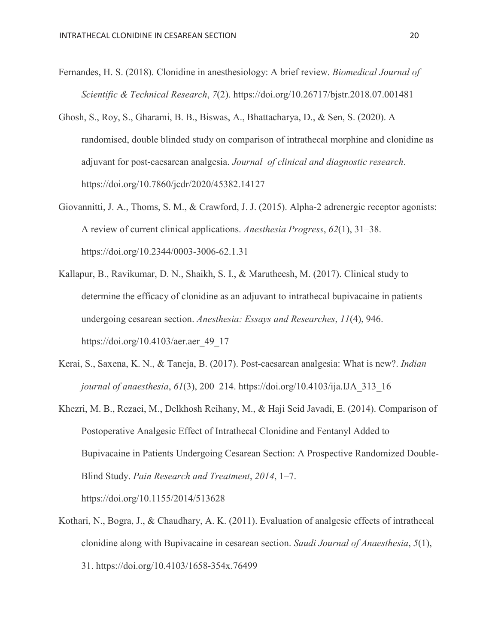- Fernandes, H. S. (2018). Clonidine in anesthesiology: A brief review. *Biomedical Journal of Scientific & Technical Research*, *7*(2). https://doi.org/10.26717/bjstr.2018.07.001481
- Ghosh, S., Roy, S., Gharami, B. B., Biswas, A., Bhattacharya, D., & Sen, S. (2020). A randomised, double blinded study on comparison of intrathecal morphine and clonidine as adjuvant for post-caesarean analgesia. *Journal of clinical and diagnostic research*. https://doi.org/10.7860/jcdr/2020/45382.14127
- Giovannitti, J. A., Thoms, S. M., & Crawford, J. J. (2015). Alpha-2 adrenergic receptor agonists: A review of current clinical applications. *Anesthesia Progress*, *62*(1), 31–38. https://doi.org/10.2344/0003-3006-62.1.31
- Kallapur, B., Ravikumar, D. N., Shaikh, S. I., & Marutheesh, M. (2017). Clinical study to determine the efficacy of clonidine as an adjuvant to intrathecal bupivacaine in patients undergoing cesarean section. *Anesthesia: Essays and Researches*, *11*(4), 946. https://doi.org/10.4103/aer.aer\_49\_17
- Kerai, S., Saxena, K. N., & Taneja, B. (2017). Post-caesarean analgesia: What is new?. *Indian journal of anaesthesia*, *61*(3), 200–214. https://doi.org/10.4103/ija.IJA\_313\_16
- Khezri, M. B., Rezaei, M., Delkhosh Reihany, M., & Haji Seid Javadi, E. (2014). Comparison of Postoperative Analgesic Effect of Intrathecal Clonidine and Fentanyl Added to Bupivacaine in Patients Undergoing Cesarean Section: A Prospective Randomized Double-Blind Study. *Pain Research and Treatment*, *2014*, 1–7. https://doi.org/10.1155/2014/513628
- Kothari, N., Bogra, J., & Chaudhary, A. K. (2011). Evaluation of analgesic effects of intrathecal clonidine along with Bupivacaine in cesarean section. *Saudi Journal of Anaesthesia*, *5*(1), 31. https://doi.org/10.4103/1658-354x.76499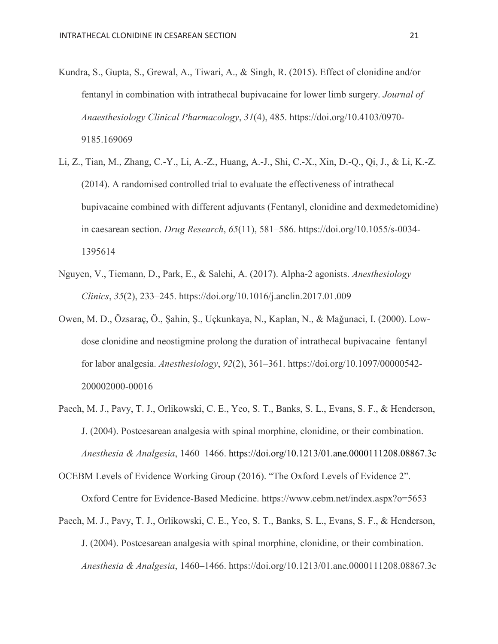- Kundra, S., Gupta, S., Grewal, A., Tiwari, A., & Singh, R. (2015). Effect of clonidine and/or fentanyl in combination with intrathecal bupivacaine for lower limb surgery. *Journal of Anaesthesiology Clinical Pharmacology*, *31*(4), 485. https://doi.org/10.4103/0970- 9185.169069
- Li, Z., Tian, M., Zhang, C.-Y., Li, A.-Z., Huang, A.-J., Shi, C.-X., Xin, D.-Q., Qi, J., & Li, K.-Z. (2014). A randomised controlled trial to evaluate the effectiveness of intrathecal bupivacaine combined with different adjuvants (Fentanyl, clonidine and dexmedetomidine) in caesarean section. *Drug Research*, *65*(11), 581–586. https://doi.org/10.1055/s-0034- 1395614
- Nguyen, V., Tiemann, D., Park, E., & Salehi, A. (2017). Alpha-2 agonists. *Anesthesiology Clinics*, *35*(2), 233–245. https://doi.org/10.1016/j.anclin.2017.01.009
- Owen, M. D., Özsaraç, Ö., Şahin, Ş., Uçkunkaya, N., Kaplan, N., & Maǧunaci, I. (2000). Lowdose clonidine and neostigmine prolong the duration of intrathecal bupivacaine–fentanyl for labor analgesia. *Anesthesiology*, *92*(2), 361–361. https://doi.org/10.1097/00000542- 200002000-00016
- Paech, M. J., Pavy, T. J., Orlikowski, C. E., Yeo, S. T., Banks, S. L., Evans, S. F., & Henderson, J. (2004). Postcesarean analgesia with spinal morphine, clonidine, or their combination. *Anesthesia & Analgesia*, 1460–1466.<https://doi.org/10.1213/01.ane.0000111208.08867.3c>

OCEBM Levels of Evidence Working Group (2016). "The Oxford Levels of Evidence 2". Oxford Centre for Evidence-Based Medicine. https://www.cebm.net/index.aspx?o=5653

Paech, M. J., Pavy, T. J., Orlikowski, C. E., Yeo, S. T., Banks, S. L., Evans, S. F., & Henderson, J. (2004). Postcesarean analgesia with spinal morphine, clonidine, or their combination. *Anesthesia & Analgesia*, 1460–1466. https://doi.org/10.1213/01.ane.0000111208.08867.3c